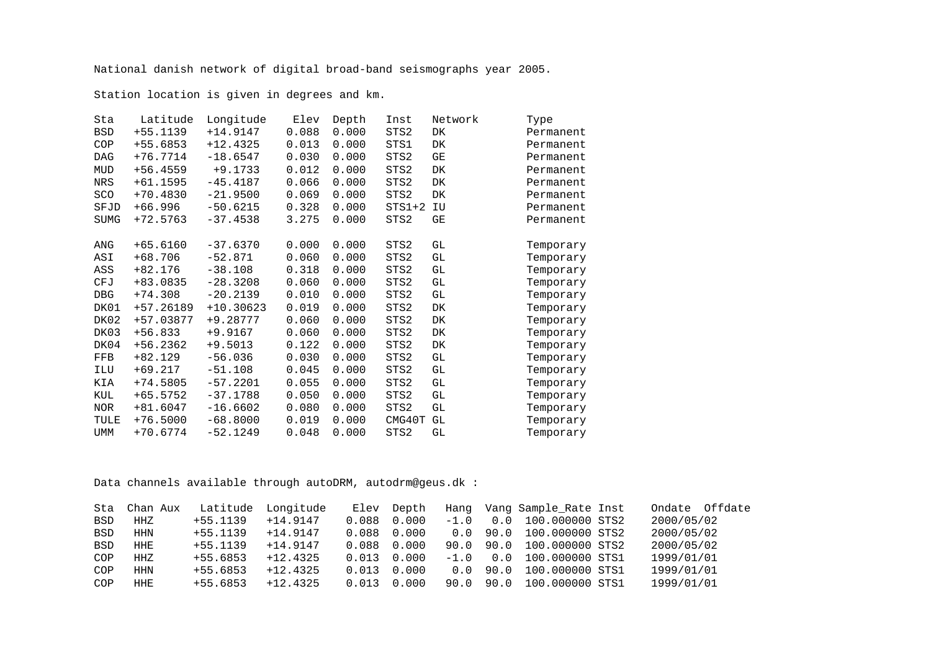National danish network of digital broad-band seismographs year 2005.

Station location is given in degrees and km.

| Sta         | Latitude   | Longitude   | Elev  | Depth | Inst     | Network | Type      |
|-------------|------------|-------------|-------|-------|----------|---------|-----------|
| <b>BSD</b>  | +55.1139   | $+14.9147$  | 0.088 | 0.000 | STS2     | DK      | Permanent |
| COP         | +55.6853   | $+12.4325$  | 0.013 | 0.000 | STS1     | DK      | Permanent |
| <b>DAG</b>  | $+76.7714$ | $-18.6547$  | 0.030 | 0.000 | STS2     | GE      | Permanent |
| MUD         | $+56.4559$ | $+9.1733$   | 0.012 | 0.000 | STS2     | DK      | Permanent |
| NRS         | $+61.1595$ | $-45.4187$  | 0.066 | 0.000 | STS2     | DK      | Permanent |
| SCO         | $+70.4830$ | $-21.9500$  | 0.069 | 0.000 | STS2     | DK      | Permanent |
| SFJD        | $+66.996$  | $-50.6215$  | 0.328 | 0.000 | $STS1+2$ | IU      | Permanent |
| <b>SUMG</b> | +72.5763   | $-37.4538$  | 3.275 | 0.000 | STS2     | GΕ      | Permanent |
|             |            |             |       |       |          |         |           |
| ANG         | $+65.6160$ | $-37.6370$  | 0.000 | 0.000 | STS2     | GL      | Temporary |
| ASI         | $+68.706$  | $-52.871$   | 0.060 | 0.000 | STS2     | GL      | Temporary |
| ASS         | $+82.176$  | $-38.108$   | 0.318 | 0.000 | STS2     | GL      | Temporary |
| CFJ         | +83.0835   | $-28.3208$  | 0.060 | 0.000 | STS2     | GL      | Temporary |
| <b>DBG</b>  | $+74.308$  | $-20.2139$  | 0.010 | 0.000 | STS2     | GL      | Temporary |
| DK01        | +57.26189  | $+10.30623$ | 0.019 | 0.000 | STS2     | DK      | Temporary |
| DK02        | +57.03877  | +9.28777    | 0.060 | 0.000 | STS2     | DK      | Temporary |
| DK03        | $+56.833$  | $+9.9167$   | 0.060 | 0.000 | STS2     | DK      | Temporary |
| DK04        | $+56.2362$ | $+9.5013$   | 0.122 | 0.000 | STS2     | DK      | Temporary |
| FFB         | +82.129    | $-56.036$   | 0.030 | 0.000 | STS2     | GL      | Temporary |
| ILU         | $+69.217$  | $-51.108$   | 0.045 | 0.000 | STS2     | GL      | Temporary |
| KIA         | +74.5805   | $-57.2201$  | 0.055 | 0.000 | STS2     | GL      | Temporary |
| KUL         | $+65.5752$ | $-37.1788$  | 0.050 | 0.000 | STS2     | GL      | Temporary |
| <b>NOR</b>  | $+81.6047$ | $-16.6602$  | 0.080 | 0.000 | STS2     | GL      | Temporary |
| TULE        | $+76.5000$ | $-68.8000$  | 0.019 | 0.000 | CMG40T   | GL      | Temporary |
| <b>UMM</b>  | $+70.6774$ | $-52.1249$  | 0.048 | 0.000 | STS2     | GГ      | Temporary |

Data channels available through autoDRM, autodrm@geus.dk :

|            | Sta Chan Aux | Latitude Longitude |            | Elev  | Depth | Hanq   |      | Vang Sample_Rate Inst | Offdate<br>Ondate |
|------------|--------------|--------------------|------------|-------|-------|--------|------|-----------------------|-------------------|
| <b>BSD</b> | HHZ          | $+55.1139$         | $+14.9147$ | 0.088 | 0.000 | $-1.0$ | 0.0  | 100.000000 STS2       | 2000/05/02        |
| <b>BSD</b> | <b>HHN</b>   | $+55.1139$         | $+14.9147$ | 0.088 | 0.000 | 0.0    | 90.0 | 100.000000 STS2       | 2000/05/02        |
| <b>BSD</b> | <b>HHE</b>   | $+55.1139$         | $+14.9147$ | 0.088 | 0.000 | 90.O   | 90.0 | 100.000000 STS2       | 2000/05/02        |
| COP        | HHZ          | $+55.6853$         | $+12.4325$ | 0.013 | 0.000 | $-1.0$ | 0.0  | 100.000000 STS1       | 1999/01/01        |
| COP        | <b>HHN</b>   | $+55.6853$         | $+12.4325$ | 0.013 | 0.000 | 0.0    | 90.0 | 100.000000 STS1       | 1999/01/01        |
| COP        | <b>HHE</b>   | $+55.6853$         | $+12.4325$ | 0.013 | 0.000 | 90.0   | 90.0 | 100,000000 STS1       | 1999/01/01        |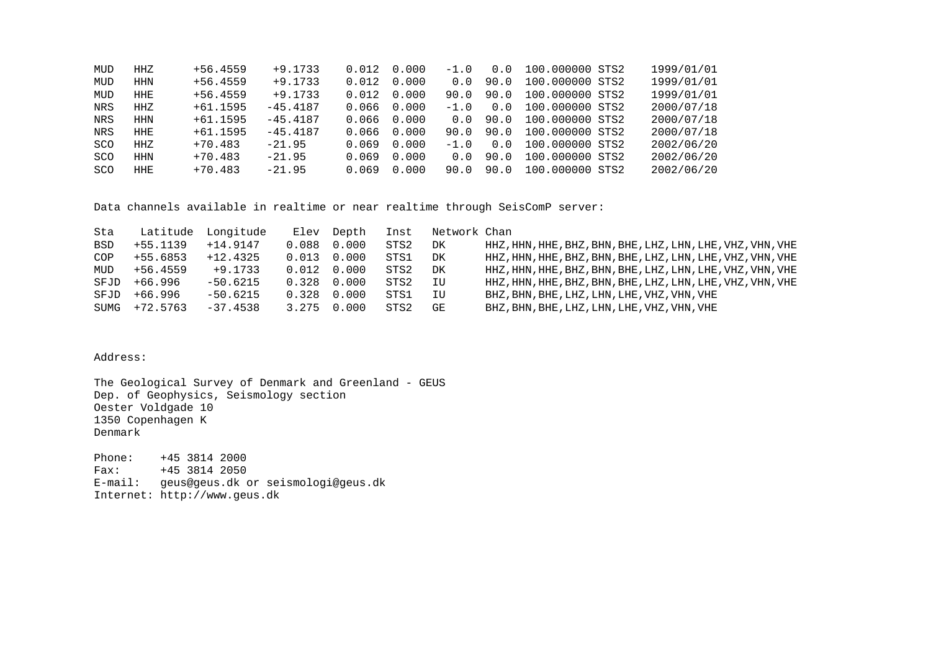| HHZ        | $+56.4559$ | $+9.1733$  | 0.012 |       |                                                                                       |      |                                                | 1999/01/01                                                                                                                                                                                                        |
|------------|------------|------------|-------|-------|---------------------------------------------------------------------------------------|------|------------------------------------------------|-------------------------------------------------------------------------------------------------------------------------------------------------------------------------------------------------------------------|
| <b>HHN</b> | $+56.4559$ | $+9.1733$  | 0.012 | 0.000 | 0.0                                                                                   | 90.0 |                                                | 1999/01/01                                                                                                                                                                                                        |
| <b>HHE</b> | $+56.4559$ | $+9.1733$  |       |       |                                                                                       |      |                                                | 1999/01/01                                                                                                                                                                                                        |
| HHZ        | $+61.1595$ | $-45.4187$ |       |       |                                                                                       |      |                                                | 2000/07/18                                                                                                                                                                                                        |
| <b>HHN</b> | $+61.1595$ | $-45.4187$ |       |       |                                                                                       |      |                                                | 2000/07/18                                                                                                                                                                                                        |
| <b>HHE</b> | $+61.1595$ | $-45.4187$ |       |       |                                                                                       |      |                                                | 2000/07/18                                                                                                                                                                                                        |
| HHZ        | $+70.483$  | $-21.95$   | 0.069 | 0.000 |                                                                                       |      |                                                | 2002/06/20                                                                                                                                                                                                        |
| <b>HHN</b> | $+70.483$  | $-21.95$   | 0.069 | 0.000 | 0.0                                                                                   | 90.0 |                                                | 2002/06/20                                                                                                                                                                                                        |
| <b>HHE</b> | $+70.483$  | $-21.95$   | 0.069 | 0.000 |                                                                                       |      |                                                | 2002/06/20                                                                                                                                                                                                        |
|            |            |            |       |       | 0.000<br>$0.012 \quad 0.000$<br>$0.066$ $0.000$<br>$0.066$ $0.000$<br>$0.066$ $0.000$ |      | 90.O<br>$-1.0 \t 0.0$<br>$-1.0 \t 0.0$<br>90.0 | $-1.0$ 0.0 100.000000 STS2<br>100.000000 STS2<br>90.0 100.000000 STS2<br>100.000000 STS2<br>$0.0$ 90.0 100.000000 STS2<br>90.0 90.0 100.000000 STS2<br>100.000000 STS2<br>100.000000 STS2<br>90.0 100.000000 STS2 |

Data channels available in realtime or near realtime through SeisComP server:

| Sta        |               | Latitude Longitude |                     | Elev Depth |      | Inst Network Chan |                                                                       |
|------------|---------------|--------------------|---------------------|------------|------|-------------------|-----------------------------------------------------------------------|
| <b>BSD</b> | +55.1139      | +14.9147           | $0.088$ $0.000$     |            | STS2 | DK                | HHZ, HHN, HHE, BHZ, BHN, BHE, LHZ, LHN, LHE, VHZ, VHN, VHE            |
| COP        | +55.6853      | +12.4325           | $0.013$ $0.000$     |            | STS1 | DK                | HHZ , HHN , HHE , BHZ , BHN , BHE , LHZ , LHN , LHE , VHZ , VHN , VHE |
| MUD        | +56.4559      | +9.1733            | $0.012 \quad 0.000$ |            | STS2 | DK                | HHZ, HHN, HHE, BHZ, BHN, BHE, LHZ, LHN, LHE, VHZ, VHN, VHE            |
| SFJD       | +66.996       | -50.6215           | 0.328 0.000         |            | STS2 | IU                | HHZ, HHN, HHE, BHZ, BHN, BHE, LHZ, LHN, LHE, VHZ, VHN, VHE            |
| SFJD       | +66.996       | -50.6215           | 0.328 0.000         |            | STS1 | IU                | BHZ, BHN, BHE, LHZ, LHN, LHE, VHZ, VHN, VHE                           |
|            | SUMG +72.5763 | -37.4538           | 3.275 0.000         |            | STS2 | GE                | BHZ, BHN, BHE, LHZ, LHN, LHE, VHZ, VHN, VHE                           |

Address:

The Geological Survey of Denmark and Greenland - GEUS Dep. of Geophysics, Seismology section Oester Voldgade 10 1350 Copenhagen K Denmark

Phone: +45 3814 2000 Fax: +45 3814 2050 E-mail: geus@geus.dk or seismologi@geus.dk Internet: http://www.geus.dk